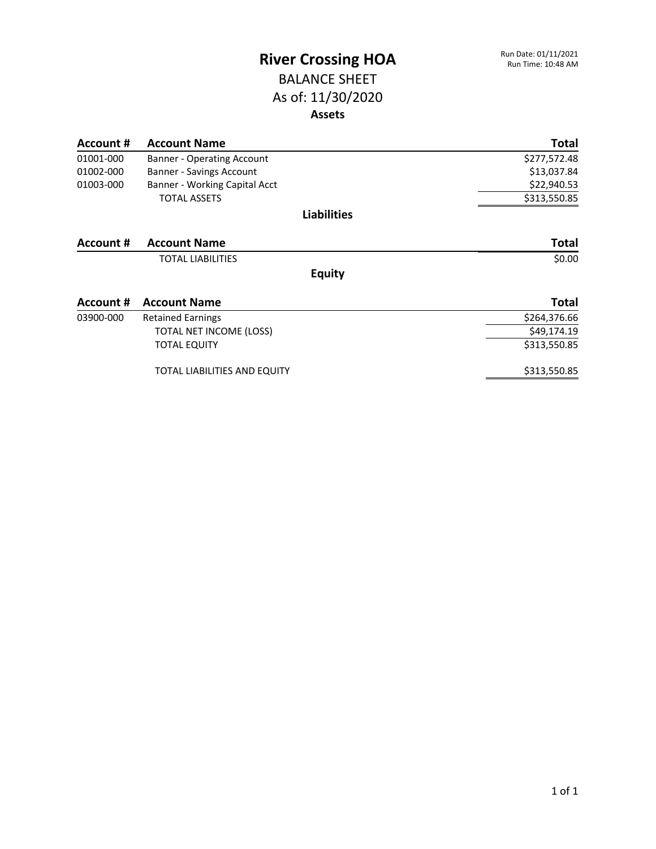### BALANCE SHEET As of: 11/30/2020 **Assets**

| Account # | <b>Account Name</b>           | Total        |
|-----------|-------------------------------|--------------|
| 01001-000 | Banner - Operating Account    | \$277,572.48 |
| 01002-000 | Banner - Savings Account      | \$13,037.84  |
| 01003-000 | Banner - Working Capital Acct | \$22,940.53  |
|           | <b>TOTAL ASSETS</b>           | \$313,550.85 |
|           | <b>Liabilities</b>            |              |
| Account # | <b>Account Name</b>           | Total        |
|           | <b>TOTAL LIABILITIES</b>      | \$0.00       |
|           | <b>Equity</b>                 |              |
| Account # | <b>Account Name</b>           | <b>Total</b> |
| 03900-000 | <b>Retained Earnings</b>      | \$264,376.66 |
|           | TOTAL NET INCOME (LOSS)       | \$49,174.19  |
|           | <b>TOTAL EQUITY</b>           | \$313,550.85 |
|           | TOTAL LIABILITIES AND EQUITY  | \$313,550.85 |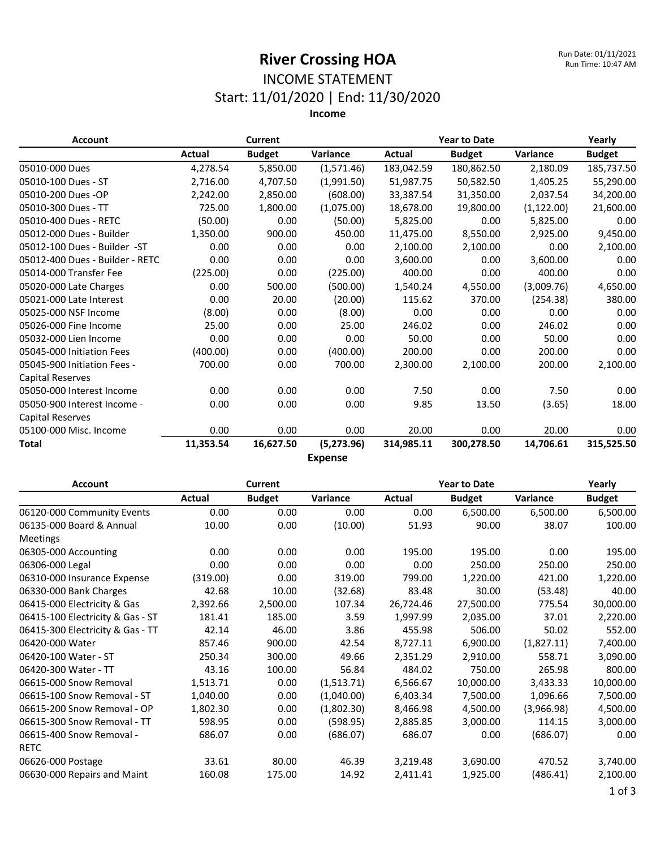#### INCOME STATEMENT Start: 11/01/2020 | End: 11/30/2020

**Income**

| <b>Account</b>                  |           | <b>Current</b> |                | <b>Year to Date</b> | Yearly        |                 |               |
|---------------------------------|-----------|----------------|----------------|---------------------|---------------|-----------------|---------------|
|                                 | Actual    | <b>Budget</b>  | Variance       | Actual              | <b>Budget</b> | <b>Variance</b> | <b>Budget</b> |
| 05010-000 Dues                  | 4,278.54  | 5,850.00       | (1,571.46)     | 183,042.59          | 180,862.50    | 2,180.09        | 185,737.50    |
| 05010-100 Dues - ST             | 2,716.00  | 4,707.50       | (1.991.50)     | 51.987.75           | 50.582.50     | 1.405.25        | 55,290.00     |
| 05010-200 Dues -OP              | 2,242.00  | 2,850.00       | (608.00)       | 33,387.54           | 31,350.00     | 2,037.54        | 34,200.00     |
| 05010-300 Dues - TT             | 725.00    | 1,800.00       | (1,075.00)     | 18,678.00           | 19,800.00     | (1, 122.00)     | 21,600.00     |
| 05010-400 Dues - RETC           | (50.00)   | 0.00           | (50.00)        | 5,825.00            | 0.00          | 5,825.00        | 0.00          |
| 05012-000 Dues - Builder        | 1,350.00  | 900.00         | 450.00         | 11,475.00           | 8,550.00      | 2,925.00        | 9,450.00      |
| 05012-100 Dues - Builder -ST    | 0.00      | 0.00           | 0.00           | 2,100.00            | 2,100.00      | 0.00            | 2,100.00      |
| 05012-400 Dues - Builder - RETC | 0.00      | 0.00           | 0.00           | 3,600.00            | 0.00          | 3,600.00        | 0.00          |
| 05014-000 Transfer Fee          | (225.00)  | 0.00           | (225.00)       | 400.00              | 0.00          | 400.00          | 0.00          |
| 05020-000 Late Charges          | 0.00      | 500.00         | (500.00)       | 1,540.24            | 4,550.00      | (3,009.76)      | 4,650.00      |
| 05021-000 Late Interest         | 0.00      | 20.00          | (20.00)        | 115.62              | 370.00        | (254.38)        | 380.00        |
| 05025-000 NSF Income            | (8.00)    | 0.00           | (8.00)         | 0.00                | 0.00          | 0.00            | 0.00          |
| 05026-000 Fine Income           | 25.00     | 0.00           | 25.00          | 246.02              | 0.00          | 246.02          | 0.00          |
| 05032-000 Lien Income           | 0.00      | 0.00           | 0.00           | 50.00               | 0.00          | 50.00           | 0.00          |
| 05045-000 Initiation Fees       | (400.00)  | 0.00           | (400.00)       | 200.00              | 0.00          | 200.00          | 0.00          |
| 05045-900 Initiation Fees -     | 700.00    | 0.00           | 700.00         | 2,300.00            | 2,100.00      | 200.00          | 2,100.00      |
| Capital Reserves                |           |                |                |                     |               |                 |               |
| 05050-000 Interest Income       | 0.00      | 0.00           | 0.00           | 7.50                | 0.00          | 7.50            | 0.00          |
| 05050-900 Interest Income -     | 0.00      | 0.00           | 0.00           | 9.85                | 13.50         | (3.65)          | 18.00         |
| <b>Capital Reserves</b>         |           |                |                |                     |               |                 |               |
| 05100-000 Misc. Income          | 0.00      | 0.00           | 0.00           | 20.00               | 0.00          | 20.00           | 0.00          |
| Total                           | 11,353.54 | 16,627.50      | (5,273.96)     | 314,985.11          | 300,278.50    | 14,706.61       | 315,525.50    |
|                                 |           |                | <b>Expense</b> |                     |               |                 |               |

**Account Current Year to Date Yearly Actual Budget Variance Actual Budget Variance Budget** 06120-000 Community Events 0.00 0.00 0.00 0.00 6,500.00 6,500.00 6,500.00 06135-000 Board & Annual Meetings 10.00 0.00 (10.00) 51.93 90.00 38.07 100.00 06305-000 Accounting  $0.00$  0.00 0.00 0.00 195.00 195.00 0.00 195.00 06306-000 Legal 0.00 0.00 0.00 0.00 250.00 250.00 250.00 06310-000 Insurance Expense (319.00) 0.00 319.00 799.00 1,220.00 421.00 1,220.00 06330-000 Bank Charges 42.68 10.00 (32.68) 83.48 30.00 (53.48) 40.00 06415-000 Electricity & Gas 2,392.66 2,500.00 107.34 26,724.46 27,500.00 775.54 30,000.00 06415-100 Electricity & Gas - ST  $181.41$   $185.00$   $3.59$   $1,997.99$   $2,035.00$   $37.01$   $2,220.00$ 06415-300 Electricity & Gas - TT  $42.14$   $46.00$   $3.86$   $455.98$   $506.00$   $50.02$   $552.00$ 06420-000 Water 857.46 900.00 42.54 8,727.11 6,900.00 (1,827.11) 7,400.00 06420-100 Water - ST 250.34 300.00 49.66 2,351.29 2,910.00 558.71 3,090.00 06420-300 Water - TT 43.16 100.00 56.84 484.02 750.00 265.98 800.00 06615-000 Snow Removal 1,513.71 0.00 (1,513.71) 6,566.67 10,000.00 3,433.33 10,000.00 06615-100 Snow Removal - ST 1,040.00 0.00 (1,040.00) 6,403.34 7,500.00 1,096.66 7,500.00 06615-200 Snow Removal - OP 1,802.30 0.00 (1,802.30) 8,466.98 4,500.00 (3,966.98) 4,500.00 06615-300 Snow Removal - TT 598.95 0.00 (598.95) 2,885.85 3,000.00 114.15 3,000.00 06615-400 Snow Removal - RETC 686.07 0.00 (686.07) 686.07 0.00 (686.07) 0.00 06626-000 Postage 33.61 80.00 46.39 3,219.48 3,690.00 470.52 3,740.00 06630-000 Repairs and Maint 160.08 175.00 14.92 2,411.41 1,925.00 (486.41) 2,100.00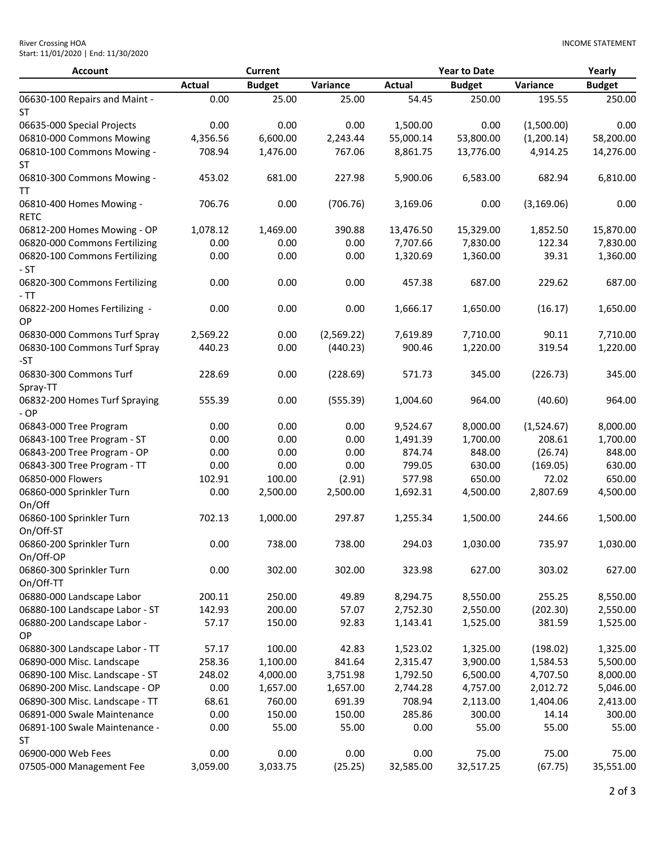| <b>River Crossing HOA</b>           |  |
|-------------------------------------|--|
| Start: 11/01/2020   End: 11/30/2020 |  |

| <b>Account</b>                             |               | <b>Current</b> |            |               | <b>Year to Date</b> |             | Yearly        |
|--------------------------------------------|---------------|----------------|------------|---------------|---------------------|-------------|---------------|
|                                            | <b>Actual</b> | <b>Budget</b>  | Variance   | <b>Actual</b> | <b>Budget</b>       | Variance    | <b>Budget</b> |
| 06630-100 Repairs and Maint -<br><b>ST</b> | 0.00          | 25.00          | 25.00      | 54.45         | 250.00              | 195.55      | 250.00        |
| 06635-000 Special Projects                 | 0.00          | 0.00           | 0.00       | 1,500.00      | 0.00                | (1,500.00)  | 0.00          |
| 06810-000 Commons Mowing                   | 4,356.56      | 6,600.00       | 2,243.44   | 55,000.14     | 53,800.00           | (1,200.14)  | 58,200.00     |
| 06810-100 Commons Mowing -                 | 708.94        | 1,476.00       | 767.06     | 8,861.75      | 13,776.00           | 4,914.25    | 14,276.00     |
| ST                                         |               |                |            |               |                     |             |               |
| 06810-300 Commons Mowing -<br>TΤ           | 453.02        | 681.00         | 227.98     | 5,900.06      | 6,583.00            | 682.94      | 6,810.00      |
| 06810-400 Homes Mowing -<br><b>RETC</b>    | 706.76        | 0.00           | (706.76)   | 3,169.06      | 0.00                | (3, 169.06) | 0.00          |
| 06812-200 Homes Mowing - OP                | 1,078.12      | 1,469.00       | 390.88     | 13,476.50     | 15,329.00           | 1,852.50    | 15,870.00     |
| 06820-000 Commons Fertilizing              | 0.00          | 0.00           | 0.00       | 7,707.66      | 7,830.00            | 122.34      | 7,830.00      |
| 06820-100 Commons Fertilizing              | 0.00          | 0.00           | 0.00       | 1,320.69      | 1,360.00            | 39.31       | 1,360.00      |
| - ST                                       |               |                |            |               |                     |             |               |
| 06820-300 Commons Fertilizing<br>- TT      | 0.00          | 0.00           | 0.00       | 457.38        | 687.00              | 229.62      | 687.00        |
| 06822-200 Homes Fertilizing -<br><b>OP</b> | 0.00          | 0.00           | 0.00       | 1,666.17      | 1,650.00            | (16.17)     | 1,650.00      |
| 06830-000 Commons Turf Spray               | 2,569.22      | 0.00           | (2,569.22) | 7,619.89      | 7,710.00            | 90.11       | 7,710.00      |
| 06830-100 Commons Turf Spray<br>-ST        | 440.23        | 0.00           | (440.23)   | 900.46        | 1,220.00            | 319.54      | 1,220.00      |
| 06830-300 Commons Turf                     | 228.69        | 0.00           | (228.69)   | 571.73        | 345.00              | (226.73)    | 345.00        |
| Spray-TT                                   |               |                |            |               |                     |             |               |
| 06832-200 Homes Turf Spraying<br>- OP      | 555.39        | 0.00           | (555.39)   | 1,004.60      | 964.00              | (40.60)     | 964.00        |
| 06843-000 Tree Program                     | 0.00          | 0.00           | 0.00       | 9,524.67      | 8,000.00            | (1,524.67)  | 8,000.00      |
| 06843-100 Tree Program - ST                | 0.00          | 0.00           | 0.00       | 1,491.39      | 1,700.00            | 208.61      | 1,700.00      |
| 06843-200 Tree Program - OP                | 0.00          | 0.00           | 0.00       | 874.74        | 848.00              | (26.74)     | 848.00        |
| 06843-300 Tree Program - TT                | 0.00          | 0.00           | 0.00       | 799.05        | 630.00              | (169.05)    | 630.00        |
| 06850-000 Flowers                          | 102.91        | 100.00         | (2.91)     | 577.98        | 650.00              | 72.02       | 650.00        |
| 06860-000 Sprinkler Turn<br>On/Off         | 0.00          | 2,500.00       | 2,500.00   | 1,692.31      | 4,500.00            | 2,807.69    | 4,500.00      |
| 06860-100 Sprinkler Turn<br>On/Off-ST      | 702.13        | 1,000.00       | 297.87     | 1,255.34      | 1,500.00            | 244.66      | 1,500.00      |
| 06860-200 Sprinkler Turn<br>On/Off-OP      | 0.00          | 738.00         | 738.00     | 294.03        | 1,030.00            | 735.97      | 1,030.00      |
| 06860-300 Sprinkler Turn<br>On/Off-TT      | 0.00          | 302.00         | 302.00     | 323.98        | 627.00              | 303.02      | 627.00        |
| 06880-000 Landscape Labor                  | 200.11        | 250.00         | 49.89      | 8,294.75      | 8,550.00            | 255.25      | 8,550.00      |
| 06880-100 Landscape Labor - ST             | 142.93        | 200.00         | 57.07      | 2,752.30      | 2,550.00            | (202.30)    | 2,550.00      |
| 06880-200 Landscape Labor -<br>OP          | 57.17         | 150.00         | 92.83      | 1,143.41      | 1,525.00            | 381.59      | 1,525.00      |
| 06880-300 Landscape Labor - TT             | 57.17         | 100.00         | 42.83      | 1,523.02      | 1,325.00            | (198.02)    | 1,325.00      |
| 06890-000 Misc. Landscape                  | 258.36        | 1,100.00       | 841.64     | 2,315.47      | 3,900.00            | 1,584.53    | 5,500.00      |
| 06890-100 Misc. Landscape - ST             | 248.02        | 4,000.00       | 3,751.98   | 1,792.50      | 6,500.00            | 4,707.50    | 8,000.00      |
| 06890-200 Misc. Landscape - OP             | 0.00          | 1,657.00       | 1,657.00   | 2,744.28      | 4,757.00            | 2,012.72    | 5,046.00      |
| 06890-300 Misc. Landscape - TT             | 68.61         | 760.00         | 691.39     | 708.94        | 2,113.00            | 1,404.06    | 2,413.00      |
| 06891-000 Swale Maintenance                | 0.00          | 150.00         | 150.00     | 285.86        | 300.00              | 14.14       | 300.00        |
| 06891-100 Swale Maintenance -<br>ST        | 0.00          | 55.00          | 55.00      | 0.00          | 55.00               | 55.00       | 55.00         |
| 06900-000 Web Fees                         | 0.00          | 0.00           | 0.00       | 0.00          | 75.00               | 75.00       | 75.00         |
| 07505-000 Management Fee                   | 3,059.00      | 3,033.75       | (25.25)    | 32,585.00     | 32,517.25           | (67.75)     | 35,551.00     |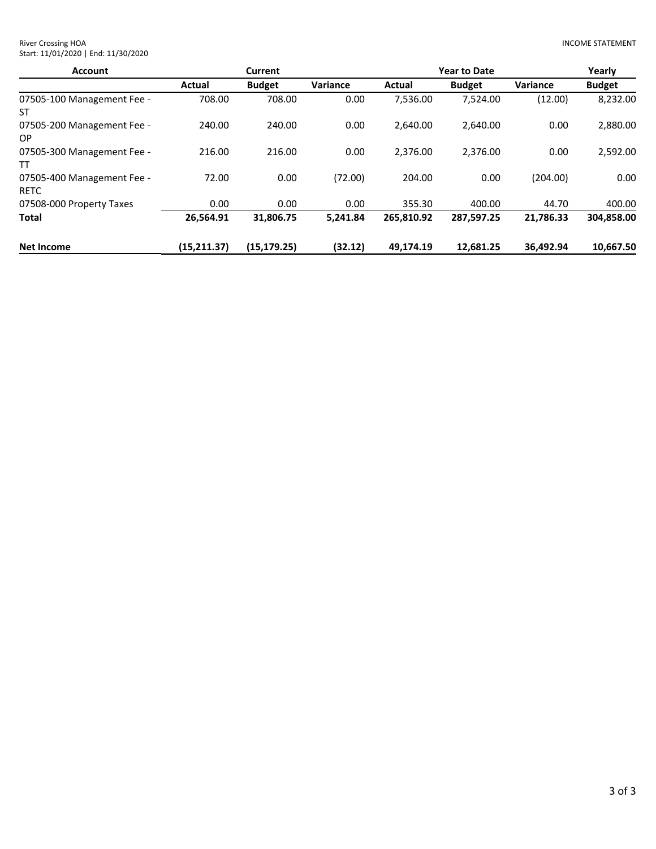| <b>Account</b>                            |              | <b>Current</b> |          |            | <b>Year to Date</b> |                 | Yearly        |
|-------------------------------------------|--------------|----------------|----------|------------|---------------------|-----------------|---------------|
|                                           | Actual       | <b>Budget</b>  | Variance | Actual     | <b>Budget</b>       | <b>Variance</b> | <b>Budget</b> |
| 07505-100 Management Fee -<br>ST          | 708.00       | 708.00         | 0.00     | 7,536.00   | 7.524.00            | (12.00)         | 8,232.00      |
| 07505-200 Management Fee -<br>OP.         | 240.00       | 240.00         | 0.00     | 2.640.00   | 2,640.00            | 0.00            | 2,880.00      |
| 07505-300 Management Fee -<br>TT          | 216.00       | 216.00         | 0.00     | 2.376.00   | 2,376.00            | 0.00            | 2,592.00      |
| 07505-400 Management Fee -<br><b>RETC</b> | 72.00        | 0.00           | (72.00)  | 204.00     | 0.00                | (204.00)        | 0.00          |
| 07508-000 Property Taxes                  | 0.00         | 0.00           | 0.00     | 355.30     | 400.00              | 44.70           | 400.00        |
| Total                                     | 26,564.91    | 31,806.75      | 5.241.84 | 265,810.92 | 287,597.25          | 21,786.33       | 304,858.00    |
| <b>Net Income</b>                         | (15, 211.37) | (15, 179.25)   | (32.12)  | 49.174.19  | 12.681.25           | 36.492.94       | 10.667.50     |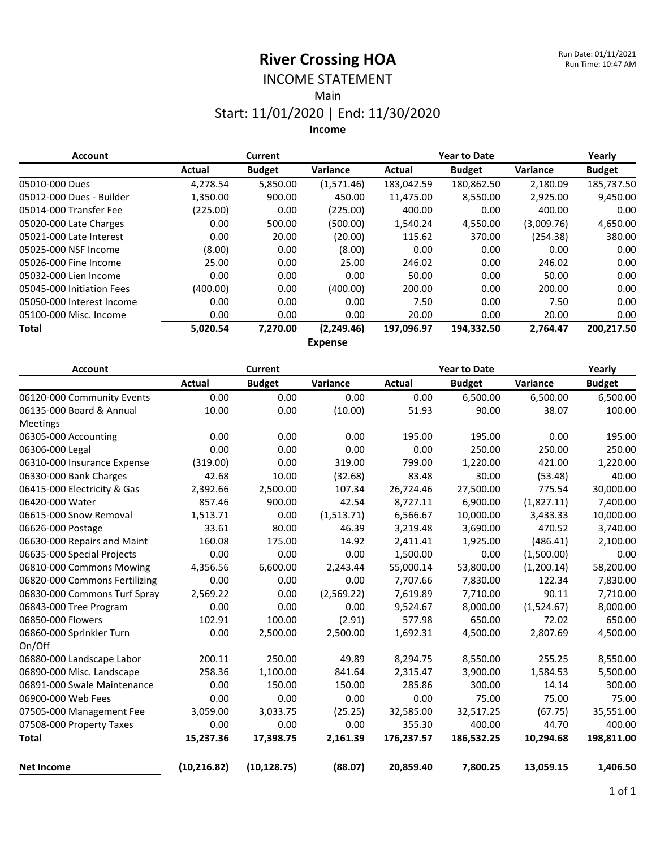#### INCOME STATEMENT Main

# Start: 11/01/2020 | End: 11/30/2020

**Income**

| <b>Account</b>            |          | <b>Current</b> |             | <b>Year to Date</b> |               |            | Yearly        |
|---------------------------|----------|----------------|-------------|---------------------|---------------|------------|---------------|
|                           | Actual   | <b>Budget</b>  | Variance    | Actual              | <b>Budget</b> | Variance   | <b>Budget</b> |
| 05010-000 Dues            | 4,278.54 | 5,850.00       | (1,571.46)  | 183,042.59          | 180,862.50    | 2,180.09   | 185,737.50    |
| 05012-000 Dues - Builder  | 1,350.00 | 900.00         | 450.00      | 11,475.00           | 8,550.00      | 2,925.00   | 9,450.00      |
| 05014-000 Transfer Fee    | (225.00) | 0.00           | (225.00)    | 400.00              | 0.00          | 400.00     | 0.00          |
| 05020-000 Late Charges    | 0.00     | 500.00         | (500.00)    | 1.540.24            | 4.550.00      | (3,009.76) | 4,650.00      |
| 05021-000 Late Interest   | 0.00     | 20.00          | (20.00)     | 115.62              | 370.00        | (254.38)   | 380.00        |
| 05025-000 NSF Income      | (8.00)   | 0.00           | (8.00)      | 0.00                | 0.00          | 0.00       | 0.00          |
| 05026-000 Fine Income     | 25.00    | 0.00           | 25.00       | 246.02              | 0.00          | 246.02     | 0.00          |
| 05032-000 Lien Income     | 0.00     | 0.00           | 0.00        | 50.00               | 0.00          | 50.00      | 0.00          |
| 05045-000 Initiation Fees | (400.00) | 0.00           | (400.00)    | 200.00              | 0.00          | 200.00     | 0.00          |
| 05050-000 Interest Income | 0.00     | 0.00           | 0.00        | 7.50                | 0.00          | 7.50       | 0.00          |
| 05100-000 Misc. Income    | 0.00     | 0.00           | 0.00        | 20.00               | 0.00          | 20.00      | 0.00          |
| <b>Total</b>              | 5,020.54 | 7,270.00       | (2, 249.46) | 197,096.97          | 194,332.50    | 2.764.47   | 200,217.50    |
|                           |          |                | $F_{1/2}$   |                     |               |            |               |

**Expense**

| <b>Account</b>                |               | <b>Current</b> |            |               | <b>Year to Date</b> |            | Yearly        |
|-------------------------------|---------------|----------------|------------|---------------|---------------------|------------|---------------|
|                               | <b>Actual</b> | <b>Budget</b>  | Variance   | <b>Actual</b> | <b>Budget</b>       | Variance   | <b>Budget</b> |
| 06120-000 Community Events    | 0.00          | 0.00           | 0.00       | 0.00          | 6,500.00            | 6,500.00   | 6,500.00      |
| 06135-000 Board & Annual      | 10.00         | 0.00           | (10.00)    | 51.93         | 90.00               | 38.07      | 100.00        |
| Meetings                      |               |                |            |               |                     |            |               |
| 06305-000 Accounting          | 0.00          | 0.00           | 0.00       | 195.00        | 195.00              | 0.00       | 195.00        |
| 06306-000 Legal               | 0.00          | 0.00           | 0.00       | 0.00          | 250.00              | 250.00     | 250.00        |
| 06310-000 Insurance Expense   | (319.00)      | 0.00           | 319.00     | 799.00        | 1,220.00            | 421.00     | 1,220.00      |
| 06330-000 Bank Charges        | 42.68         | 10.00          | (32.68)    | 83.48         | 30.00               | (53.48)    | 40.00         |
| 06415-000 Electricity & Gas   | 2,392.66      | 2,500.00       | 107.34     | 26,724.46     | 27,500.00           | 775.54     | 30,000.00     |
| 06420-000 Water               | 857.46        | 900.00         | 42.54      | 8,727.11      | 6,900.00            | (1,827.11) | 7,400.00      |
| 06615-000 Snow Removal        | 1,513.71      | 0.00           | (1,513.71) | 6,566.67      | 10,000.00           | 3,433.33   | 10,000.00     |
| 06626-000 Postage             | 33.61         | 80.00          | 46.39      | 3,219.48      | 3,690.00            | 470.52     | 3,740.00      |
| 06630-000 Repairs and Maint   | 160.08        | 175.00         | 14.92      | 2,411.41      | 1,925.00            | (486.41)   | 2,100.00      |
| 06635-000 Special Projects    | 0.00          | 0.00           | 0.00       | 1,500.00      | 0.00                | (1,500.00) | 0.00          |
| 06810-000 Commons Mowing      | 4,356.56      | 6,600.00       | 2,243.44   | 55,000.14     | 53,800.00           | (1,200.14) | 58,200.00     |
| 06820-000 Commons Fertilizing | 0.00          | 0.00           | 0.00       | 7,707.66      | 7,830.00            | 122.34     | 7,830.00      |
| 06830-000 Commons Turf Spray  | 2,569.22      | 0.00           | (2,569.22) | 7,619.89      | 7,710.00            | 90.11      | 7,710.00      |
| 06843-000 Tree Program        | 0.00          | 0.00           | 0.00       | 9,524.67      | 8,000.00            | (1,524.67) | 8,000.00      |
| 06850-000 Flowers             | 102.91        | 100.00         | (2.91)     | 577.98        | 650.00              | 72.02      | 650.00        |
| 06860-000 Sprinkler Turn      | 0.00          | 2,500.00       | 2,500.00   | 1,692.31      | 4,500.00            | 2,807.69   | 4,500.00      |
| On/Off                        |               |                |            |               |                     |            |               |
| 06880-000 Landscape Labor     | 200.11        | 250.00         | 49.89      | 8,294.75      | 8,550.00            | 255.25     | 8,550.00      |
| 06890-000 Misc. Landscape     | 258.36        | 1,100.00       | 841.64     | 2,315.47      | 3,900.00            | 1,584.53   | 5,500.00      |
| 06891-000 Swale Maintenance   | 0.00          | 150.00         | 150.00     | 285.86        | 300.00              | 14.14      | 300.00        |
| 06900-000 Web Fees            | 0.00          | 0.00           | 0.00       | 0.00          | 75.00               | 75.00      | 75.00         |
| 07505-000 Management Fee      | 3,059.00      | 3,033.75       | (25.25)    | 32,585.00     | 32,517.25           | (67.75)    | 35,551.00     |
| 07508-000 Property Taxes      | 0.00          | 0.00           | 0.00       | 355.30        | 400.00              | 44.70      | 400.00        |
| <b>Total</b>                  | 15,237.36     | 17,398.75      | 2,161.39   | 176,237.57    | 186,532.25          | 10,294.68  | 198,811.00    |
| <b>Net Income</b>             | (10, 216.82)  | (10, 128.75)   | (88.07)    | 20,859.40     | 7,800.25            | 13,059.15  | 1,406.50      |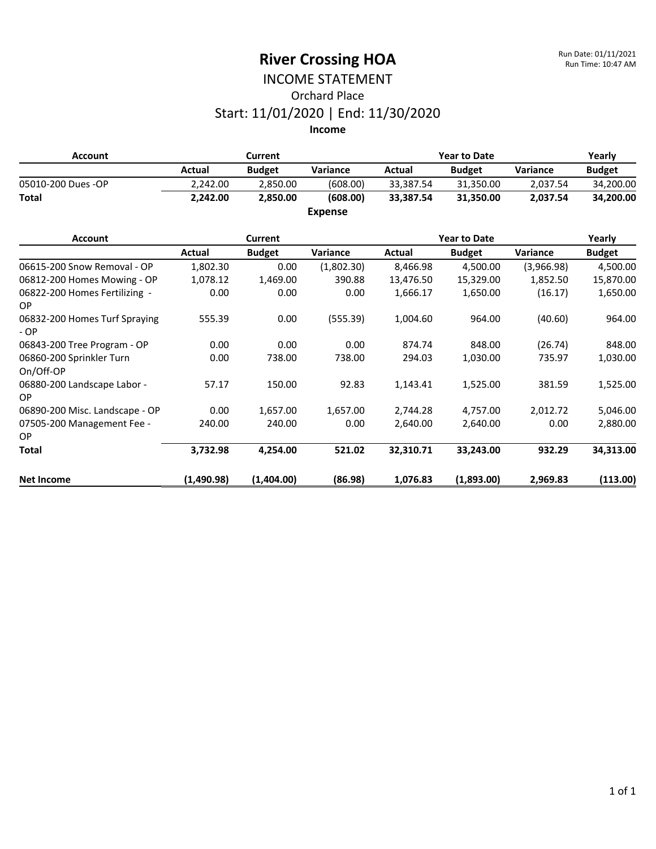## INCOME STATEMENT Orchard Place Start: 11/01/2020 | End: 11/30/2020

| <b>Account</b>                             |            | <b>Current</b> |                |           | <b>Year to Date</b> |                 | Yearly        |
|--------------------------------------------|------------|----------------|----------------|-----------|---------------------|-----------------|---------------|
|                                            | Actual     | <b>Budget</b>  | Variance       | Actual    | <b>Budget</b>       | <b>Variance</b> | <b>Budget</b> |
| 05010-200 Dues -OP                         | 2,242.00   | 2,850.00       | (608.00)       | 33,387.54 | 31,350.00           | 2,037.54        | 34,200.00     |
| <b>Total</b>                               | 2,242.00   | 2,850.00       | (608.00)       | 33,387.54 | 31,350.00           | 2,037.54        | 34,200.00     |
|                                            |            |                | <b>Expense</b> |           |                     |                 |               |
| <b>Account</b>                             |            | <b>Current</b> |                |           | <b>Year to Date</b> |                 | Yearly        |
|                                            | Actual     | <b>Budget</b>  | Variance       | Actual    | <b>Budget</b>       | Variance        | <b>Budget</b> |
| 06615-200 Snow Removal - OP                | 1,802.30   | 0.00           | (1,802.30)     | 8,466.98  | 4,500.00            | (3,966.98)      | 4,500.00      |
| 06812-200 Homes Mowing - OP                | 1,078.12   | 1,469.00       | 390.88         | 13,476.50 | 15,329.00           | 1,852.50        | 15,870.00     |
| 06822-200 Homes Fertilizing -<br><b>OP</b> | 0.00       | 0.00           | 0.00           | 1,666.17  | 1,650.00            | (16.17)         | 1,650.00      |
| 06832-200 Homes Turf Spraying<br>$-OP$     | 555.39     | 0.00           | (555.39)       | 1,004.60  | 964.00              | (40.60)         | 964.00        |
| 06843-200 Tree Program - OP                | 0.00       | 0.00           | 0.00           | 874.74    | 848.00              | (26.74)         | 848.00        |
| 06860-200 Sprinkler Turn<br>On/Off-OP      | 0.00       | 738.00         | 738.00         | 294.03    | 1,030.00            | 735.97          | 1,030.00      |
| 06880-200 Landscape Labor -<br>OP          | 57.17      | 150.00         | 92.83          | 1,143.41  | 1,525.00            | 381.59          | 1,525.00      |
| 06890-200 Misc. Landscape - OP             | 0.00       | 1,657.00       | 1,657.00       | 2,744.28  | 4,757.00            | 2,012.72        | 5,046.00      |
| 07505-200 Management Fee -                 | 240.00     | 240.00         | 0.00           | 2,640.00  | 2,640.00            | 0.00            | 2,880.00      |
| <b>OP</b>                                  |            |                |                |           |                     |                 |               |
| <b>Total</b>                               | 3,732.98   | 4,254.00       | 521.02         | 32,310.71 | 33,243.00           | 932.29          | 34,313.00     |
| <b>Net Income</b>                          | (1,490.98) | (1,404.00)     | (86.98)        | 1,076.83  | (1,893.00)          | 2,969.83        | (113.00)      |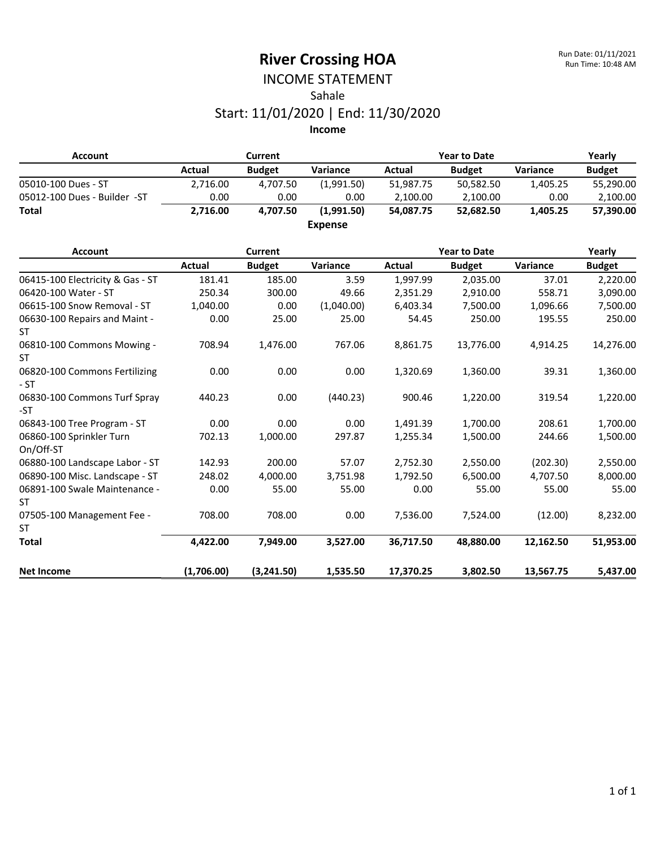### INCOME STATEMENT Sahale Start: 11/01/2020 | End: 11/30/2020

| <b>Account</b>                          |               | Current        |                |               | <b>Year to Date</b> |           | Yearly<br><b>Budget</b> |  |  |
|-----------------------------------------|---------------|----------------|----------------|---------------|---------------------|-----------|-------------------------|--|--|
|                                         | Actual        | <b>Budget</b>  | Variance       | <b>Actual</b> | <b>Budget</b>       | Variance  |                         |  |  |
| 05010-100 Dues - ST                     | 2,716.00      | 4,707.50       | (1,991.50)     | 51,987.75     | 50,582.50           | 1,405.25  | 55,290.00               |  |  |
| 05012-100 Dues - Builder -ST            | 0.00          | 0.00           | 0.00           | 2,100.00      | 2,100.00            | 0.00      | 2,100.00                |  |  |
| <b>Total</b>                            | 2,716.00      | 4,707.50       | (1,991.50)     | 54,087.75     | 52,682.50           | 1,405.25  | 57,390.00               |  |  |
|                                         |               |                | <b>Expense</b> |               |                     |           |                         |  |  |
| <b>Account</b>                          |               | <b>Current</b> |                |               | <b>Year to Date</b> |           | Yearly                  |  |  |
|                                         | <b>Actual</b> | <b>Budget</b>  | Variance       | <b>Actual</b> | <b>Budget</b>       | Variance  | <b>Budget</b>           |  |  |
| 06415-100 Electricity & Gas - ST        | 181.41        | 185.00         | 3.59           | 1,997.99      | 2,035.00            | 37.01     | 2,220.00                |  |  |
| 06420-100 Water - ST                    | 250.34        | 300.00         | 49.66          | 2,351.29      | 2,910.00            | 558.71    | 3,090.00                |  |  |
| 06615-100 Snow Removal - ST             | 1,040.00      | 0.00           | (1,040.00)     | 6,403.34      | 7,500.00            | 1,096.66  | 7,500.00                |  |  |
| 06630-100 Repairs and Maint -           | 0.00          | 25.00          | 25.00          | 54.45         | 250.00              | 195.55    | 250.00                  |  |  |
| <b>ST</b>                               |               |                |                |               |                     |           |                         |  |  |
| 06810-100 Commons Mowing -<br><b>ST</b> | 708.94        | 1,476.00       | 767.06         | 8,861.75      | 13,776.00           | 4,914.25  | 14,276.00               |  |  |
| 06820-100 Commons Fertilizing<br>$-ST$  | 0.00          | 0.00           | 0.00           | 1,320.69      | 1,360.00            | 39.31     | 1,360.00                |  |  |
| 06830-100 Commons Turf Spray<br>-ST     | 440.23        | 0.00           | (440.23)       | 900.46        | 1,220.00            | 319.54    | 1,220.00                |  |  |
| 06843-100 Tree Program - ST             | 0.00          | 0.00           | 0.00           | 1,491.39      | 1,700.00            | 208.61    | 1,700.00                |  |  |
| 06860-100 Sprinkler Turn<br>On/Off-ST   | 702.13        | 1,000.00       | 297.87         | 1,255.34      | 1,500.00            | 244.66    | 1,500.00                |  |  |
| 06880-100 Landscape Labor - ST          | 142.93        | 200.00         | 57.07          | 2,752.30      | 2,550.00            | (202.30)  | 2,550.00                |  |  |
| 06890-100 Misc. Landscape - ST          | 248.02        | 4,000.00       | 3,751.98       | 1,792.50      | 6,500.00            | 4,707.50  | 8,000.00                |  |  |
| 06891-100 Swale Maintenance -           | 0.00          | 55.00          | 55.00          | 0.00          | 55.00               | 55.00     | 55.00                   |  |  |
| <b>ST</b>                               |               |                |                |               |                     |           |                         |  |  |
| 07505-100 Management Fee -              | 708.00        | 708.00         | 0.00           | 7,536.00      | 7,524.00            | (12.00)   | 8,232.00                |  |  |
| <b>ST</b>                               |               |                |                |               |                     |           |                         |  |  |
| <b>Total</b>                            | 4,422.00      | 7,949.00       | 3,527.00       | 36,717.50     | 48,880.00           | 12,162.50 | 51,953.00               |  |  |
| <b>Net Income</b>                       | (1,706.00)    | (3,241.50)     | 1,535.50       | 17,370.25     | 3,802.50            | 13,567.75 | 5,437.00                |  |  |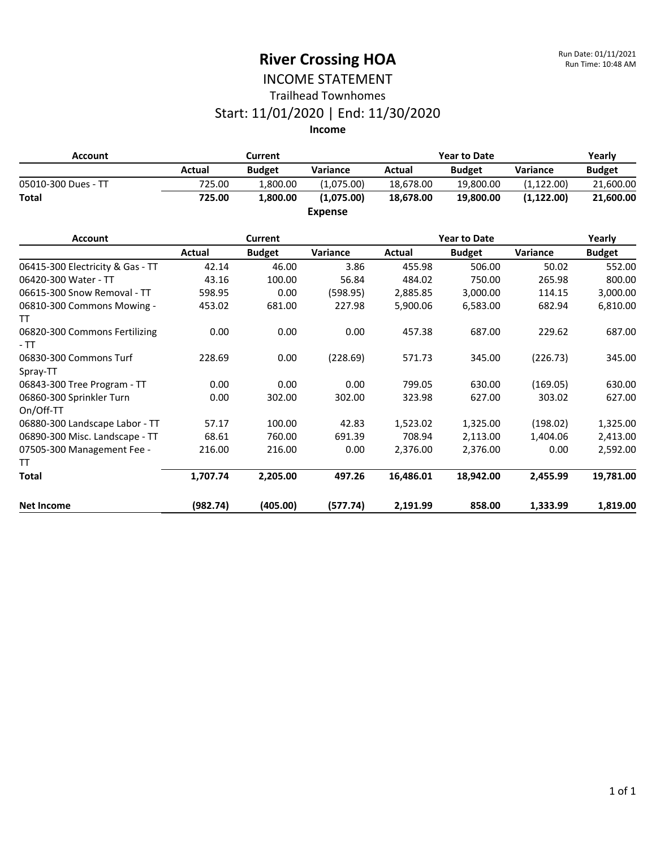### INCOME STATEMENT Trailhead Townhomes

#### Start: 11/01/2020 | End: 11/30/2020

**Income**

| <b>Account</b>                              |        | Current       |                |           | <b>Year to Date</b> |             | Yearly        |
|---------------------------------------------|--------|---------------|----------------|-----------|---------------------|-------------|---------------|
|                                             | Actual | <b>Budget</b> | Variance       | Actual    | <b>Budget</b>       | Variance    | <b>Budget</b> |
| 05010-300 Dues - TT                         | 725.00 | 1,800.00      | (1,075.00)     | 18,678.00 | 19,800.00           | (1, 122.00) | 21,600.00     |
| <b>Total</b>                                | 725.00 | 1,800.00      | (1,075.00)     | 18,678.00 | 19,800.00           | (1, 122.00) | 21,600.00     |
|                                             |        |               | <b>Expense</b> |           |                     |             |               |
| <b>Account</b>                              |        | Current       |                |           | <b>Year to Date</b> |             | Yearly        |
|                                             | Actual | <b>Budget</b> | Variance       | Actual    | <b>Budget</b>       | Variance    | <b>Budget</b> |
| 06415-300 Electricity & Gas - TT            | 42.14  | 46.00         | 3.86           | 455.98    | 506.00              | 50.02       | 552.00        |
| 06420-300 Water - TT                        | 43.16  | 100.00        | 56.84          | 484.02    | 750.00              | 265.98      | 800.00        |
| 06615-300 Snow Removal - TT                 | 598.95 | 0.00          | (598.95)       | 2,885.85  | 3,000.00            | 114.15      | 3,000.00      |
| 06810-300 Commons Mowing -                  | 453.02 | 681.00        | 227.98         | 5,900.06  | 6,583.00            | 682.94      | 6,810.00      |
| TT<br>06820-300 Commons Fertilizing<br>- TT | 0.00   | 0.00          | 0.00           | 457.38    | 687.00              | 229.62      | 687.00        |
| 06830-300 Commons Turf<br>Spray-TT          | 228.69 | 0.00          | (228.69)       | 571.73    | 345.00              | (226.73)    | 345.00        |
| 06843-300 Tree Program - TT                 | 0.00   | 0.00          | 0.00           | 799.05    | 630.00              | (169.05)    | 630.00        |
| 06860-300 Sprinkler Turn<br>On/Off-TT       | 0.00   | 302.00        | 302.00         | 323.98    | 627.00              | 303.02      | 627.00        |
| 06880-300 Landscape Labor - TT              | 57.17  | 100.00        | 42.83          | 1,523.02  | 1,325.00            | (198.02)    | 1,325.00      |

06890-300 Misc. Landscape - TT 68.61 760.00 691.39 708.94 2,113.00 1,404.06 2,413.00

**Total 1,707.74 2,205.00 497.26 16,486.01 18,942.00 2,455.99 19,781.00**

**Net Income (982.74) (405.00) (577.74) 2,191.99 858.00 1,333.99 1,819.00**

216.00 216.00 0.00 2,376.00 2,376.00 0.00 2,592.00

07505-300 Management Fee -

TT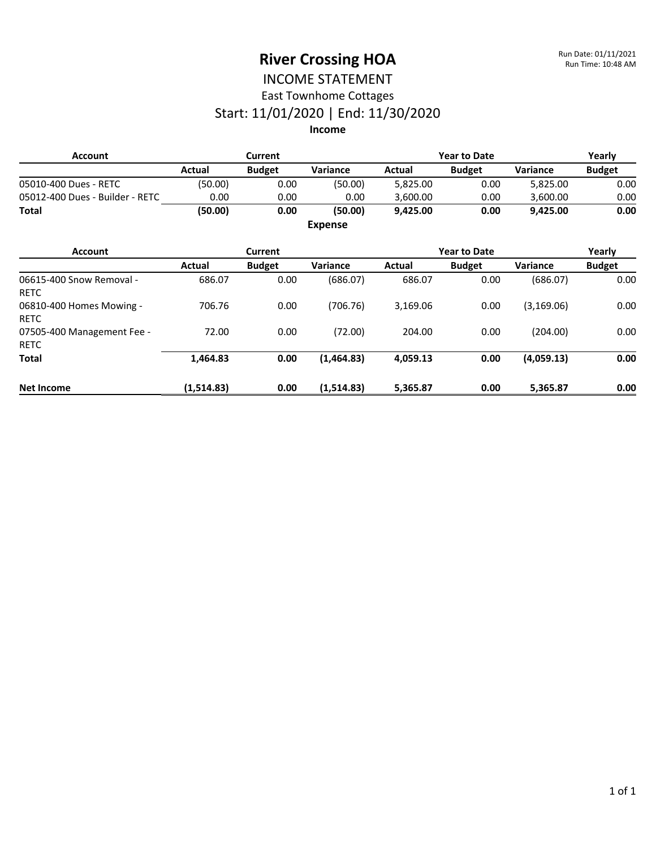#### INCOME STATEMENT East Townhome Cottages

### Start: 11/01/2020 | End: 11/30/2020

| <b>Account</b>                            |            | Current        |                |          | <b>Year to Date</b> |             | Yearly<br><b>Budget</b> |  |  |
|-------------------------------------------|------------|----------------|----------------|----------|---------------------|-------------|-------------------------|--|--|
|                                           | Actual     | <b>Budget</b>  | Variance       | Actual   | <b>Budget</b>       | Variance    |                         |  |  |
| 05010-400 Dues - RETC                     | (50.00)    | 0.00           | (50.00)        | 5,825.00 | 0.00                | 5,825.00    | 0.00                    |  |  |
| 05012-400 Dues - Builder - RETC           | 0.00       | 0.00           | 0.00           | 3,600.00 | 0.00                | 3,600.00    | 0.00                    |  |  |
| <b>Total</b>                              | (50.00)    | 0.00           | (50.00)        | 9,425.00 | 0.00                | 9,425.00    | 0.00                    |  |  |
|                                           |            |                | <b>Expense</b> |          |                     |             |                         |  |  |
| <b>Account</b>                            |            | <b>Current</b> |                |          | <b>Year to Date</b> |             | Yearly                  |  |  |
|                                           | Actual     | <b>Budget</b>  | Variance       | Actual   | <b>Budget</b>       | Variance    | <b>Budget</b>           |  |  |
| 06615-400 Snow Removal -<br><b>RETC</b>   | 686.07     | 0.00           | (686.07)       | 686.07   | 0.00                | (686.07)    | 0.00                    |  |  |
| 06810-400 Homes Mowing -<br><b>RETC</b>   | 706.76     | 0.00           | (706.76)       | 3,169.06 | 0.00                | (3, 169.06) | 0.00                    |  |  |
| 07505-400 Management Fee -<br><b>RETC</b> | 72.00      | 0.00           | (72.00)        | 204.00   | 0.00                | (204.00)    | 0.00                    |  |  |
| <b>Total</b>                              | 1,464.83   | 0.00           | (1,464.83)     | 4,059.13 | 0.00                | (4,059.13)  | 0.00                    |  |  |
| <b>Net Income</b>                         | (1,514.83) | 0.00           | (1,514.83)     | 5,365.87 | 0.00                | 5,365.87    | 0.00                    |  |  |